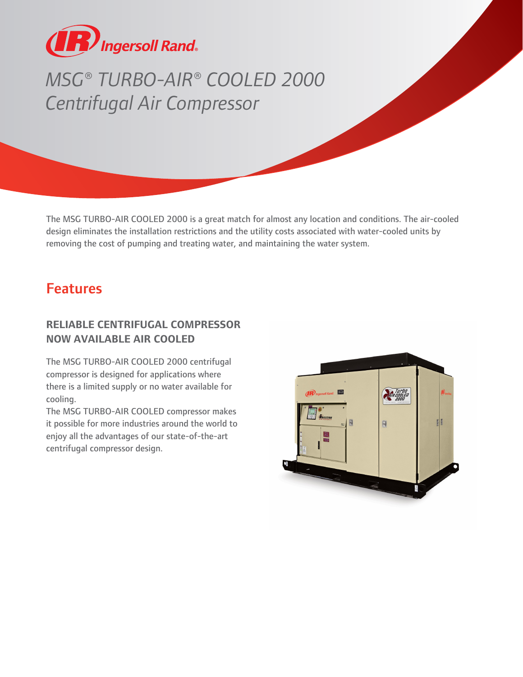

# *MSG® TURBO-AIR® COOLED 2000 Centrifugal Air Compressor*

The MSG TURBO-AIR COOLED 2000 is a great match for almost any location and conditions. The air-cooled design eliminates the installation restrictions and the utility costs associated with water-cooled units by removing the cost of pumping and treating water, and maintaining the water system.

## Features

#### **RELIABLE CENTRIFUGAL COMPRESSOR NOW AVAILABLE AIR COOLED**

The MSG TURBO-AIR COOLED 2000 centrifugal compressor is designed for applications where there is a limited supply or no water available for cooling.

The MSG TURBO-AIR COOLED compressor makes it possible for more industries around the world to enjoy all the advantages of our state-of-the-art centrifugal compressor design.